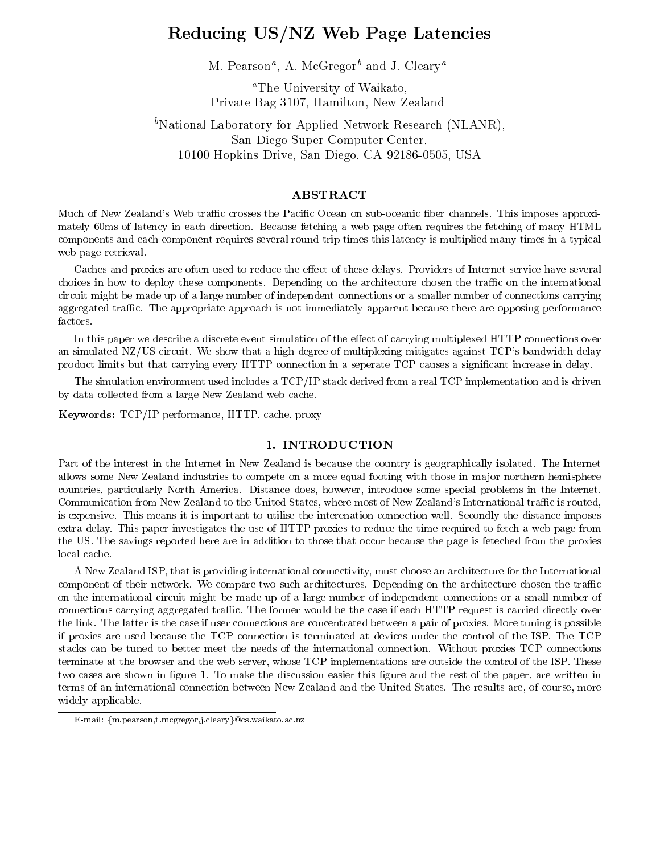# Reducing US/NZ Web Page Latencies

m. Pearson", A. McGregor and J. Cleary

aThe University of Waikato, Private Bag 3107, Hamilton, New Zealand

## <sup>b</sup>National Laboratory for Applied Network Research (NLANR), San Diego Super Computer Center, 10100 Hopkins Drive, San Diego, CA 92186-0505, USA

## ABSTRACT

Much of New Zealand's Web traffic crosses the Pacific Ocean on sub-oceanic fiber channels. This imposes approximately 60ms of latency in each direction. Because fetching a web page often requires the fetching of many HTML components and each component requires several round trip times this latency is multiplied many times in a typical web page retrieval.

Caches and proxies are often used to reduce the effect of these delays. Providers of Internet service have several choices in how to deploy these components. Depending on the architecture chosen the traffic on the international circuit might be made up of a large number of independent connections or a smaller number of connections carrying aggregated traffic. The appropriate approach is not immediately apparent because there are opposing performance factors.

In this paper we describe a discrete event simulation of the effect of carrying multiplexed HTTP connections over an simulated NZ/US circuit. We show that a high degree of multiplexing mitigates against TCP's bandwidth delay product limits but that carrying every HTTP connection in a seperate TCP causes a signicant increase in delay.

The simulation environment used includes a TCP/IP stack derived from a real TCP implementation and is driven by data collected from a large New Zealand web cache.

 $\mathbf{r}$ , words:  $\mathbf{r}$  is performance,  $\mathbf{r}$ , exercy proxy

## 1. INTRODUCTION

Part of the interest in the Internet in New Zealand is because the country is geographically isolated. The Internet allows some New Zealand industries to compete on a more equal footing with those in major northern hemisphere countries, particularly North America. Distance does, however, introduce some special problems in the Internet. Communication from New Zealand to the United States, where most of New Zealand's International traffic is routed, is expensive. This means it is important to utilise the interenation connection well. Secondly the distance imposes extra delay. This paper investigates the use of HTTP proxies to reduce the time required to fetch a web page from the US. The savings reported here are in addition to those that occur because the page is feteched from the proxies local cache.

A New Zealand ISP, that is providing international connectivity, must choose an architecture for the International component of their network. We compare two such architectures. Depending on the architecture chosen the traffic on the international circuit might be made up of a large number of independent connections or a small number of connections carrying aggregated traffic. The former would be the case if each HTTP request is carried directly over the link. The latter is the case if user connections are concentrated between a pair of proxies. More tuning is possible if proxies are used because the TCP connection is terminated at devices under the control of the ISP. The TCP stacks can be tuned to better meet the needs of the international connection. Without proxies TCP connections terminate at the browser and the web server, whose TCP implementations are outside the control of the ISP. These two cases are shown in figure 1. To make the discussion easier this figure and the rest of the paper, are written in terms of an international connection between New Zealand and the United States. The results are, of course, more widely applicable.

E-mail: {m.pearson,t.mcgregor,j.cleary}@cs.waikato.ac.nz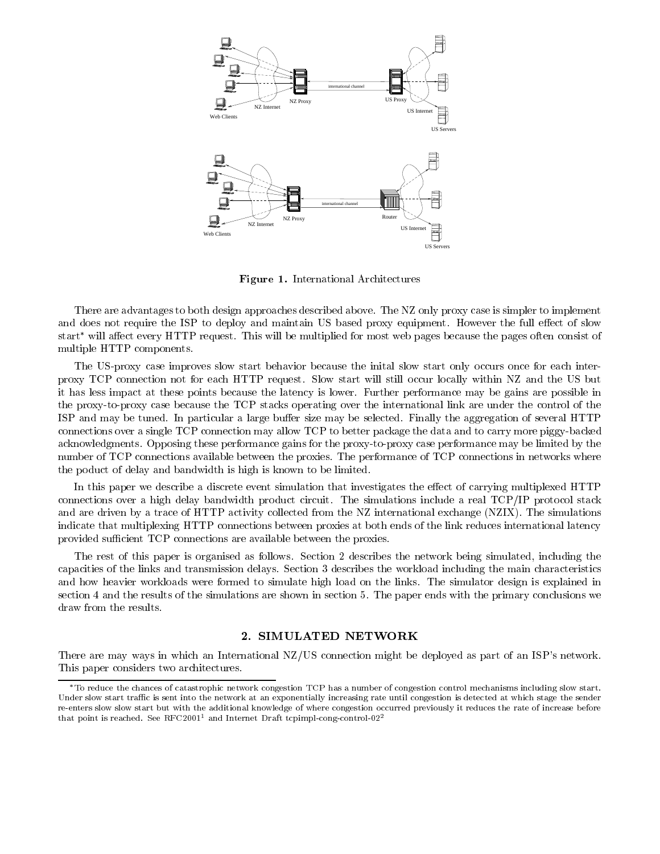

Figure 1. International Architectures

There are advantages to both design approaches described above. The NZ only proxy case is simpler to implement and does not require the ISP to deploy and maintain US based proxy equipment. However the full effect of slow start<sup>\*</sup> will affect every HTTP request. This will be multiplied for most web pages because the pages often consist of multiple HTTP components.

The US-proxy case improves slow start behavior because the inital slow start only occurs once for each interproxy TCP connection not for each HTTP request. Slow startwill still occur locally within NZ and the US but it has less impact at these points because the latency is lower. Further performance may be gains are possible in the proxy-to-proxy case because the TCP stacks operating over the international link are under the control of the ISP and may be tuned. In particular a large buffer size may be selected. Finally the aggregation of several HTTP connections over a single TCP connection may allow TCP to better package the data and to carry more piggy-backed acknowledgments. Opposing these performance gains for the proxy-to-proxy case performance may be limited by the number of TCP connections available between the proxies. The performance of TCP connections in networks where the poduct of delay and bandwidth is high is known to be limited.

In this paper we describe a discrete event simulation that investigates the effect of carrying multiplexed HTTP connections over a high delay bandwidth product circuit. The simulations include a real TCP/IP protocol stack and are driven by a trace of HTTP activity collected from the NZ international exchange (NZIX). The simulations indicate that multiplexing HTTP connections between proxies at both ends of the link reduces international latency provided sufficient TCP connections are available between the proxies.

The rest of this paper is organised as follows. Section 2 describes the network being simulated, including the capacities of the links and transmission delays. Section 3 describes the workload including the main characteristics and how heavier workloads were formed to simulate high load on the links. The simulator design is explained in section 4 and the results of the simulations are shown in section 5. The paper ends with the primary conclusions we

## 2. SIMULATED NETWORK

There are may ways in which an International NZ/US connection might be deployed as part of an ISP's network. This paper considers two architectures.

To reduce the chances of catastrophic network congestion TCP has a number of congestion control mechanisms including slow start. Under slow start traffic is sent into the network at an exponentially increasing rate until congestion is detected at which stage the sender re-enters slow slow start but with the additional knowledge of where congestion occurred previously it reduces the rate of increase before that point is reached. See RFC2001<sup>1</sup> and Internet Draft tcpimpl-cong-control-02<sup>2</sup>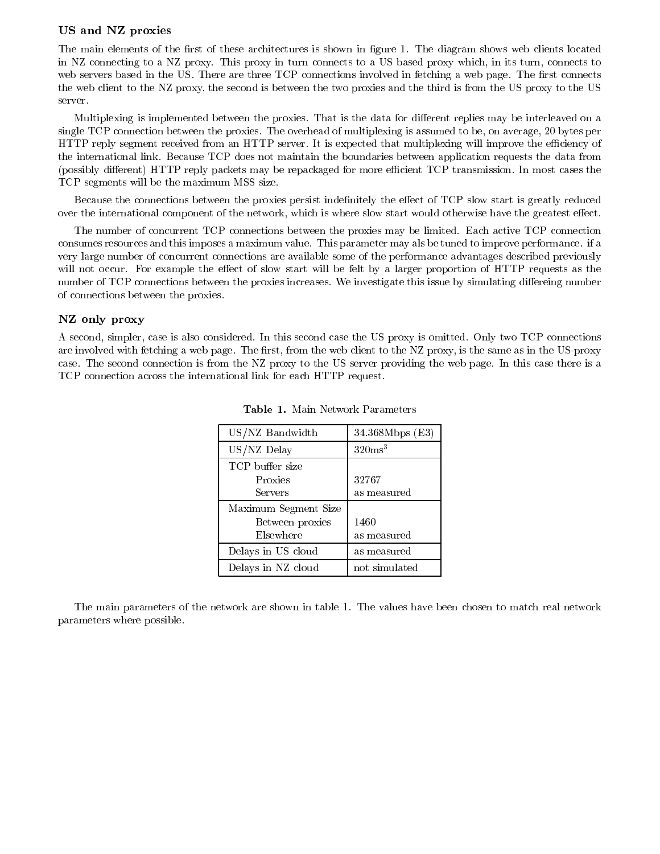#### US and NZ proxies

The main elements of the first of these architectures is shown in figure 1. The diagram shows web clients located in NZ connecting to a NZ proxy. This proxy in turn connects to a US based proxy which, in its turn, connects to web servers based in the US. There are three TCP connections involved in fetching a web page. The first connects the web client to the NZ proxy, the second is between the two proxies and the third is from the US proxy to the US server.

Multiplexing is implemented between the proxies. That is the data for different replies may be interleaved on a single TCP connection between the proxies. The overhead of multiplexing is assumed to be, on average, 20 bytes per HTTP reply segment received from an HTTP server. It is expected that multiplexing will improve the efficiency of the international link. Because TCP does not maintain the boundaries between application requests the data from (possibly different) HTTP reply packets may be repackaged for more efficient TCP transmission. In most cases the TCP segments will be the maximum MSS size.

Because the connections between the proxies persist indefinitely the effect of TCP slow start is greatly reduced over the international component of the network, which is where slow start would otherwise have the greatest effect.

The number of concurrent TCP connections between the proxies may be limited. Each active TCP connection consumes resources and this imposes a maximum value. This parameter may als be tuned to improve performance. if a very large number of concurrent connections are available some of the performance advantages described previously will not occur. For example the effect of slow start will be felt by a larger proportion of HTTP requests as the number of TCP connections between the proxies increases. We investigate this issue by simulating differeing number of connections between the proxies.

## NZ only proxy

A second, simpler, case is also considered. In this second case the US proxy is omitted. Only two TCP connections are involved with fetching a web page. The first, from the web client to the NZ proxy, is the same as in the US-proxy case. The second connection is from the NZ proxy to the US server providing the web page. In this case there is a TCP connection across the international link for each HTTP request.

| US/NZ Bandwidth      | 34.368Mbps (E3)    |
|----------------------|--------------------|
| US/NZ Delay          | 320ms <sup>3</sup> |
| TCP buffer size      |                    |
| Proxies              | 32767              |
| Servers              | as measured        |
| Maximum Segment Size |                    |
| Between proxies      | 1460               |
| Elsewhere            | as measured        |
| Delays in US cloud   | as measured        |
| Delays in NZ cloud   | not simulated      |

Table 1. Main Network Parameters

The main parameters of the network are shown in table 1. The values have been chosen to match real network parameters where possible.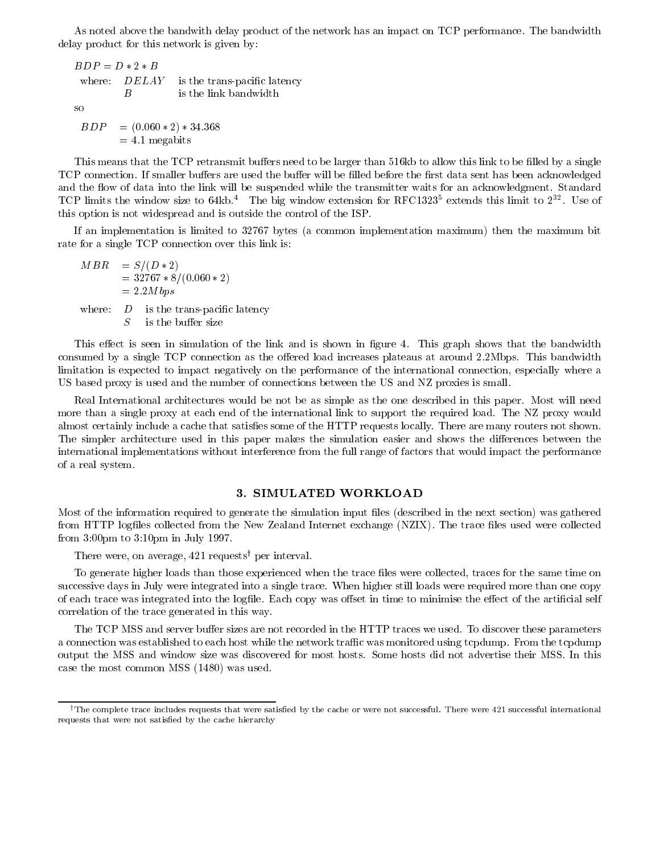As noted above the bandwith delay product of the network has an impact on TCP performance. The bandwidth delay product for this network is given by:

 $BDP = D \ast 2 \ast B$ where:  $DELAY$  is the trans-pacific latency  $\boldsymbol{B}$ is the link bandwidth so  $BDP = (0.060 * 2) * 34.368$  $= 4.1$  megabits

This means that the TCP retransmit buffers need to be larger than 516kb to allow this link to be filled by a single TCP connection. If smaller buffers are used the buffer will be filled before the first data sent has been acknowledged and the flow of data into the link will be suspended while the transmitter waits for an acknowledgment. Standard TCP limits the window size to 64kb. The big window extension for RFC1323<sup>-</sup> extends this limit to 2<sup>33</sup>. Use of this option is not widespread and is outside the control of the ISP.

If an implementation is limited to 32767 bytes (a common implementation maximum) then the maximum bit rate for a single TCP connection over this link is:

 $MBR$  $= S/(D * 2)$  $= 32767 * 8/(0.060 * 2)$  $= 2.2M bps$ where:  $D$  is the trans-pacific latency  $S$ is the buffer size

This effect is seen in simulation of the link and is shown in figure 4. This graph shows that the bandwidth consumed by a single TCP connection as the offered load increases plateaus at around 2.2Mbps. This bandwidth limitation is expected to impact negatively on the performance of the international connection, especially where a US based proxy is used and the number of connections between the US and NZ proxies is small.

Real International architectures would be not be as simple as the one described in this paper. Most will need more than a single proxy at each end of the international link to support the required load. The NZ proxy would almost certainly include a cache that satises some of the HTTP requests locally. There are many routers not shown. The simpler architecture used in this paper makes the simulation easier and shows the differences between the international implementations without interference from the full range of factors that would impact the performance of a real system.

#### 3. SIMULATED WORKLOAD

Most of the information required to generate the simulation input les (described in the next section) was gathered from HTTP logfiles collected from the New Zealand Internet exchange (NZIX). The trace files used were collected from 3:00pm to 3:10pm in July 1997.

There were, on average,  $421$  requests<sup>†</sup> per interval.

To generate higher loads than those experienced when the trace files were collected, traces for the same time on successive days in July were integrated into a single trace. When higher still loads were required more than one copy of each trace was integrated into the logfile. Each copy was offset in time to minimise the effect of the artificial self correlation of the trace generated in this way.

The TCP MSS and server buffer sizes are not recorded in the HTTP traces we used. To discover these parameters a connection was established to each host while the network traffic was monitored using tcpdump. From the tcpdump output the MSS and window size was discovered for most hosts. Some hosts did not advertise their MSS. In this case the most common MSS (1480) was used.

<sup>&</sup>lt;sup>†</sup>The complete trace includes requests that were satisfied by the cache or were not successful. There were 421 successful international requests that were not satisfied by the cache hierarchy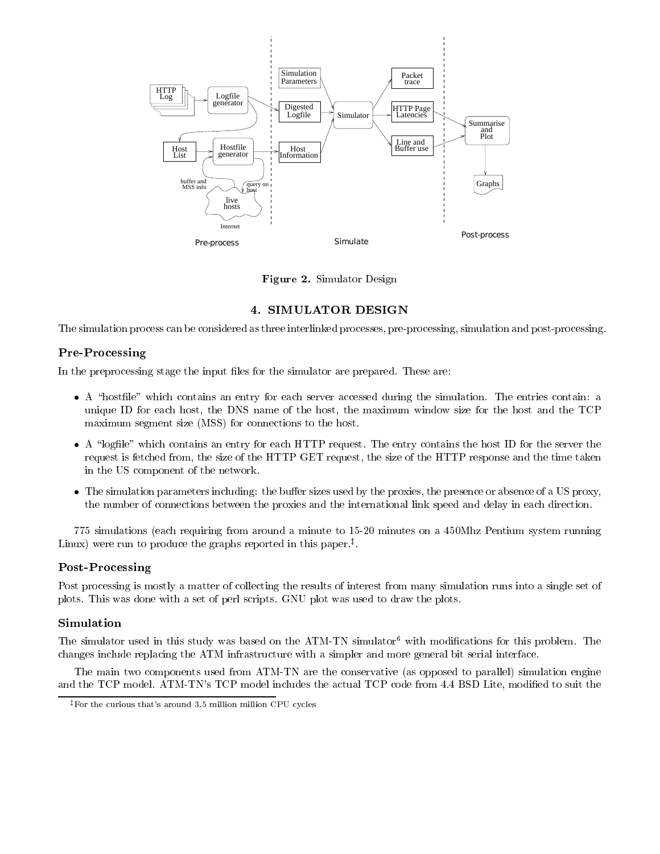

Figure 2. Simulator Design

## 4. SIMULATOR DESIGN

The simulation process can be considered as three interlinked processes, pre-processing, simulation and post-processing.

## Pre-Processing

In the preprocessing stage the input files for the simulator are prepared. These are:

- A definition which contains an entry for each server accessed during the simulation. The entries contains  $\alpha$ unique ID for each host, the DNS name of the host, the maximum window sizefor the host and the TCP maximum segment size (MSS) for connections to the host.
- A \logle" which contains an entry for each HTTP request. The entry contains the host ID for the server the request is fetched from, the size of the HTTP GET request, the size of the HTTP response and the time taken in the US component of the network.
- The simulation parameters including: the buer sizes used by the proxies, the presence or absence of a US proxy, the number of connections between the proxies and the international link speed and delay in each direction.

775 simulations (each requiring from around a minute to 15-20 minutes on a 450Mhz Pentium system running Linux) were run to produce the graphs reported in this paper.z .

## Post-Processing

Post processing is mostly a matter of collecting the results of interest from many simulation runs into a single set of plots. This was done with a set of perl scripts. GNU plot was used to draw the plots.

## Simulation

The simulator used in this study was based on the ATM-TN simulator<sup>6</sup> with modifications for this problem. The changes include replacing the ATM infrastructure with a simpler and more general bit serial interface.

The main two components used from ATM-TN are the conservative (as opposed to parallel) simulation engine and the TCP model. ATM-TN's TCP model includes the actual TCP code from 4.4 BSD Lite, modified to suit the

 $^\ddag$  For the curious that's around 3.5 million million CPU cycles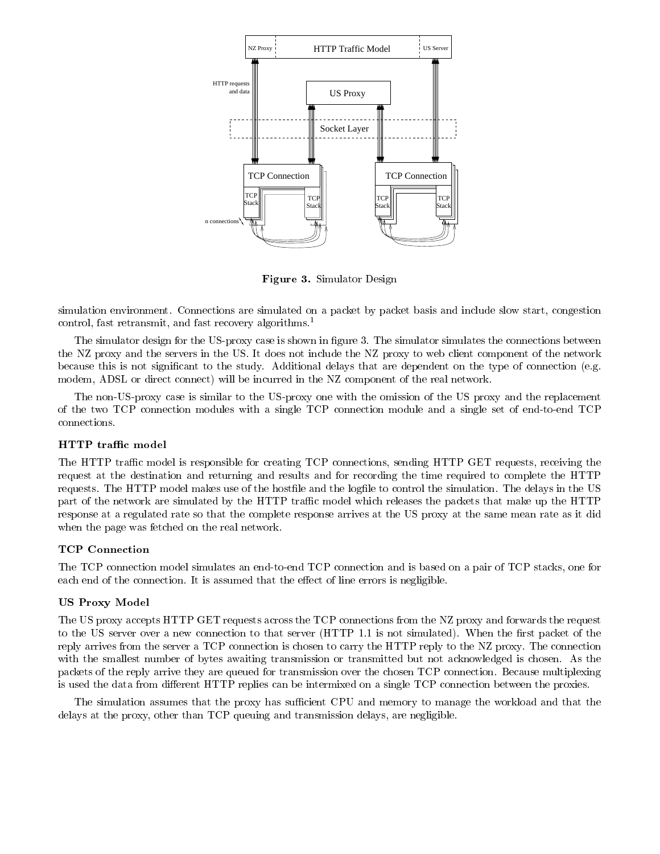

Figure 3. Simulator Design

simulation environment. Connections are simulated on a packet by packet basis and include slow start, congestion control, fast retransmit, and fast recovery algorithms.<sup>1</sup>

The simulator design for the US-proxy case is shown in figure 3. The simulator simulates the connections between the NZ proxy and the servers in the US. It does not include the NZ proxy to web client component of the network because this is not signicant to the study. Additional delays that are dependent on the type of connection (e.g. modem, ADSL or direct connect) will be incurred in the NZ component of the real network.

The non-US-proxy case is similar to the US-proxy one with the omission of the US proxy and the replacement of the two TCP connection modules with a single TCP connection module and a single set of end-to-end TCP

## HTTP trac model

The HTTP traffic model is responsible for creating TCP connections, sending HTTP GET requests, receiving the request at the destination and returning and results and for recording the time required to complete the HTTP requests. The HTTP model makes use of the hostfile and the logfile to control the simulation. The delays in the US part of the network are simulated by the HTTP traffic model which releases the packets that make up the HTTP response at a regulated rate so that the complete response arrives at the US proxy at the same mean rate as it did when the page was fetched on the real network.

## TCP Connection

The TCP connection model simulates an end-to-end TCP connection and is based on a pair of TCP stacks, one for each end of the connection. It is assumed that the effect of line errors is negligible.

## US I TUAY MODEL

The US proxy accepts HTTP GET requests across the TCP connections from the NZ proxy and forwards the request to the US server over a new connection to that server (HTTP 1.1 is not simulated). When the first packet of the reply arrives from the server a TCP connection is chosen to carry the HTTP reply to the NZ proxy. The connection with the smallest number of bytes awaiting transmission or transmitted but not acknowledged is chosen. As the packets of the reply arrive they are queued for transmission over the chosen TCP connection. Because multiplexing is used the data from different HTTP replies can be intermixed on a single TCP connection between the proxies.

The simulation assumes that the proxy has sufficient CPU and memory to manage the workload and that the delays at the proxy, other than TCP queuing and transmission delays, are negligible.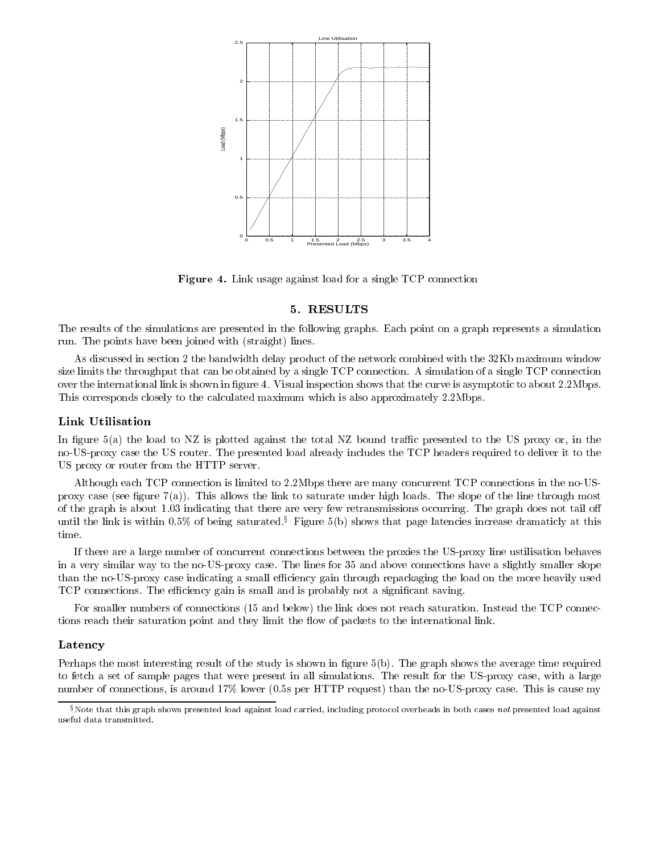

Figure 4. Link usage against load for a single TCP connection

## 5. RESULTS

The results of the simulations are presented in the following graphs. Each point on a graph represents a simulation run. The points have been joined with (straight) lines.

As discussed in section 2 the bandwidth delay product of the network combined with the 32Kb maximum window size limits the throughput that can be obtained by a single TCP connection. A simulation of a single TCP connection over the international link is shown in figure 4. Visual inspection shows that the curve is asymptotic to about 2.2Mbps. This corresponds closely to the calculated maximum which is also approximately 2.2Mbps.

## Link Utilisation

In figure  $5(a)$  the load to NZ is plotted against the total NZ bound traffic presented to the US proxy or, in the no-US-proxy case the US router. The presented load already includes the TCP headers required to deliver it to the US proxy or router from the HTTP server.

Although each TCP connection is limited to 2.2Mbps there are many concurrent TCP connections in the no-USproxy case (see figure  $7(a)$ ). This allows the link to saturate under high loads. The slope of the line through most of the graph is about 1.03 indicating that there are very few retransmissions occurring. The graph does not tail off until the link is within 0.5% of being saturated.<sup>§</sup> Figure 5(b) shows that page latencies increase dramaticly at this time.

If there are a large number of concurrent connections between the proxies the US-proxy line ustilisation behaves in a very similar way to the no-US-proxy case. The lines for 35 and above connections have a slightly smaller slope than the no-US-proxy case indicating a small efficiency gain through repackaging the load on the more heavily used TCP connections. The efficiency gain is small and is probably not a significant saving.

For smaller numbers of connections (15 and below) the link does not reach saturation. Instead the TCP connections reach their saturation point and they limit the flow of packets to the international link.

## Latency

Perhaps the most interesting result of the study is shown in figure 5(b). The graph shows the average time required to fetch a set of sample pages that were present in all simulations. The result for the US-proxy case, with a large number of connections, is around 17% lower (0.5s per HTTP request) than the no-US-proxy case. This is cause my

 $\S$ Note that this graph shows presented load against load carried, including protocol overheads in both cases not presented load against useful data transmitted.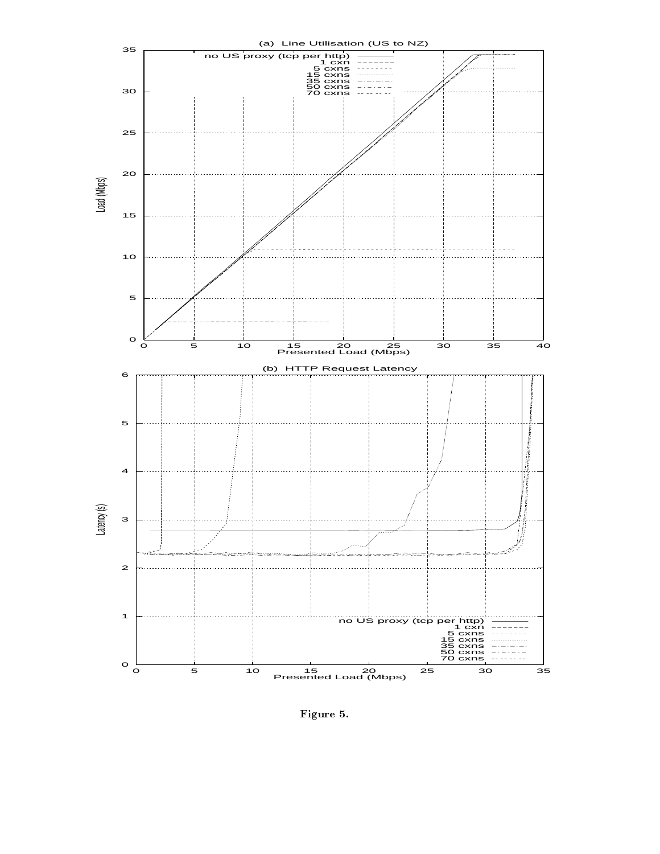

Figure 5.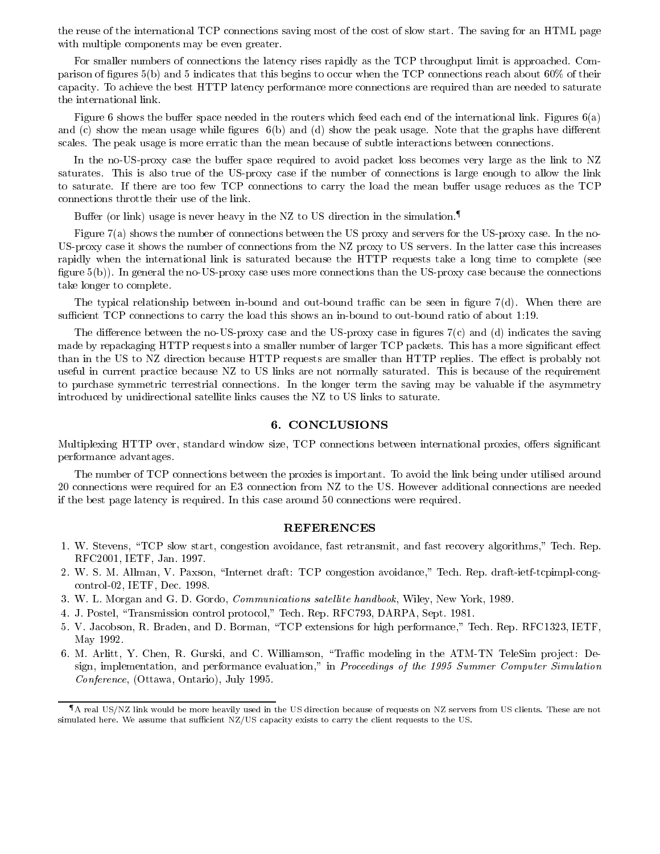the reuse of the international TCP connections saving most of the cost of slow start. The saving for an HTML page with multiple components may be even greater.

For smaller numbers of connections the latency rises rapidly as the TCP throughput limit is approached. Comparison of figures  $5(b)$  and 5 indicates that this begins to occur when the TCP connections reach about  $60\%$  of their capacity. To achieve the best HTTP latency performance more connections are required than are needed to saturate the international link.

Figure 6 shows the buffer space needed in the routers which feed each end of the international link. Figures  $6(a)$ and (c) show the mean usage while figures  $6(b)$  and (d) show the peak usage. Note that the graphs have different scales. The peak usage is more erratic than the mean because of subtle interactions between connections.

In the no-US-proxy case the buffer space required to avoid packet loss becomes very large as the link to NZ saturates. This is also true of the US-proxy case if the number of connections is large enough to allow the link to saturate. If there are too few TCP connections to carry the load the mean buffer usage reduces as the TCP connections throttle their use of the link.

Buffer (or link) usage is never heavy in the NZ to US direction in the simulation.<sup> $\blacksquare$ </sup>

Figure 7(a) shows the number of connections between the US proxy and servers for the US-proxy case. In the no-US-proxy case it shows the number of connections from the NZ proxy to US servers. In the latter case this increases rapidly when the international link is saturated because the HTTP requests take a long time to complete (see figure  $5(b)$ ). In general the no-US-proxy case uses more connections than the US-proxy case because the connections take longer to complete.

The typical relationship between in-bound and out-bound traffic can be seen in figure  $7(d)$ . When there are sufficient TCP connections to carry the load this shows an in-bound to out-bound ratio of about 1:19.

The difference between the no-US-proxy case and the US-proxy case in figures  $7(c)$  and (d) indicates the saving made by repackaging HTTP requests into a smaller number of larger TCP packets. This has a more significant effect than in the US to NZ direction because HTTP requests are smaller than HTTP replies. The effect is probably not useful in current practice because NZ to US links are not normally saturated. This is because of the requirement to purchase symmetric terrestrial connections. In the longer term the saving may be valuable if the asymmetry introduced by unidirectional satellite links causes the NZ to US links to saturate.

#### 6. CONCLUSIONS

Multiplexing HTTP over, standard window size, TCP connections between international proxies, offers significant performance advantages.

The number of TCP connections between the proxies is important. To avoid the link being under utilised around 20 connections were required for an E3 connection from NZ to the US. However additional connections are needed if the best page latency is required. In this case around 50 connections were required.

#### REFERENCES

- 1. W. Stevens, "TCP slow start, congestion avoidance, fast retransmit, and fast recovery algorithms," Tech. Rep. RFC2001, IETF, Jan. 1997.
- 2. W. S. M. Allman, V. Paxson, \Internet draft: TCP congestion avoidance," Tech. Rep. draft-ietf-tcpimpl-congcontrol-02, IETF, Dec. 1998.
- 3. W. L. Morgan and G. D. Gordo, *Communications satellite handbook*, Wiley, New York, 1989.
- 4. J. Postel, \Transmission control protocol," Tech. Rep. RFC793, DARPA, Sept. 1981.
- 5. V. Jacobson, R. Braden, and D. Borman, \TCP extensions for high performance," Tech. Rep. RFC1323, IETF, May 1992.
- 6. M. Arlitt, Y. Chen, R. Gurski, and C. Williamson, "Traffic modeling in the ATM-TN TeleSim project: Design, implementation, and performance evaluation," in Proceedings of the 1995 Summer Computer Simulation Conference, (Ottawa, Ontario), July 1995.

 $\P$  A real US/NZ link would be more heavily used in the US direction because of requests on NZ servers from US clients. These are not simulated here. We assume that sufficient NZ/US capacity exists to carry the client requests to the US.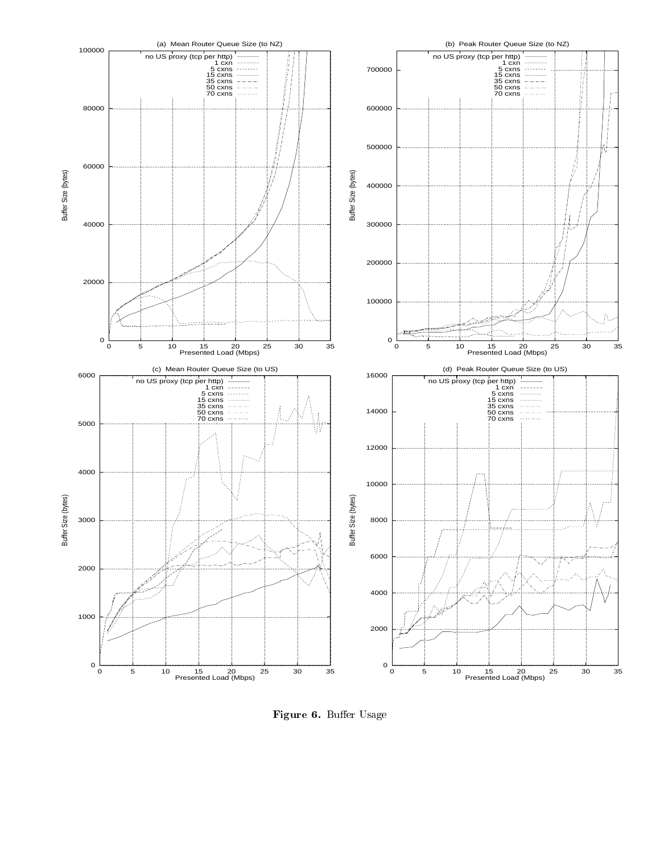

Figure 6. Buer Usage